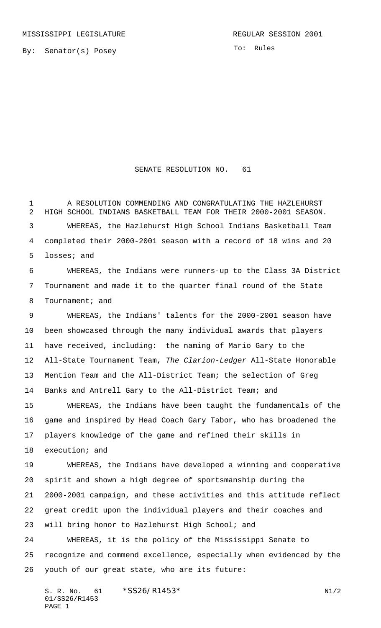By: Senator(s) Posey

To: Rules

## SENATE RESOLUTION NO. 61

 A RESOLUTION COMMENDING AND CONGRATULATING THE HAZLEHURST HIGH SCHOOL INDIANS BASKETBALL TEAM FOR THEIR 2000-2001 SEASON. WHEREAS, the Hazlehurst High School Indians Basketball Team completed their 2000-2001 season with a record of 18 wins and 20 losses; and

 WHEREAS, the Indians were runners-up to the Class 3A District Tournament and made it to the quarter final round of the State 8 Tournament; and

 WHEREAS, the Indians' talents for the 2000-2001 season have been showcased through the many individual awards that players have received, including: the naming of Mario Gary to the All-State Tournament Team, The Clarion-Ledger All-State Honorable Mention Team and the All-District Team; the selection of Greg Banks and Antrell Gary to the All-District Team; and

 WHEREAS, the Indians have been taught the fundamentals of the game and inspired by Head Coach Gary Tabor, who has broadened the players knowledge of the game and refined their skills in execution; and

 WHEREAS, the Indians have developed a winning and cooperative spirit and shown a high degree of sportsmanship during the 2000-2001 campaign, and these activities and this attitude reflect great credit upon the individual players and their coaches and will bring honor to Hazlehurst High School; and

 WHEREAS, it is the policy of the Mississippi Senate to recognize and commend excellence, especially when evidenced by the youth of our great state, who are its future:

S. R. No. 61 \* SS26/R1453\* N1/2 01/SS26/R1453 PAGE 1